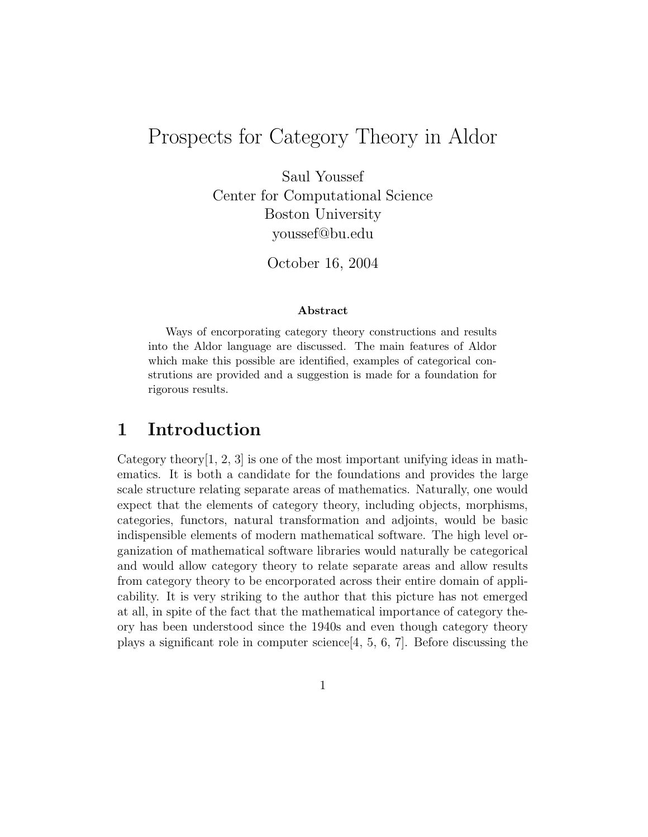# Prospects for Category Theory in Aldor

Saul Youssef Center for Computational Science Boston University youssef@bu.edu

October 16, 2004

#### Abstract

Ways of encorporating category theory constructions and results into the Aldor language are discussed. The main features of Aldor which make this possible are identified, examples of categorical construtions are provided and a suggestion is made for a foundation for rigorous results.

### 1 Introduction

Category theory  $[1, 2, 3]$  is one of the most important unifying ideas in mathematics. It is both a candidate for the foundations and provides the large scale structure relating separate areas of mathematics. Naturally, one would expect that the elements of category theory, including objects, morphisms, categories, functors, natural transformation and adjoints, would be basic indispensible elements of modern mathematical software. The high level organization of mathematical software libraries would naturally be categorical and would allow category theory to relate separate areas and allow results from category theory to be encorporated across their entire domain of applicability. It is very striking to the author that this picture has not emerged at all, in spite of the fact that the mathematical importance of category theory has been understood since the 1940s and even though category theory plays a significant role in computer science  $[4, 5, 6, 7]$ . Before discussing the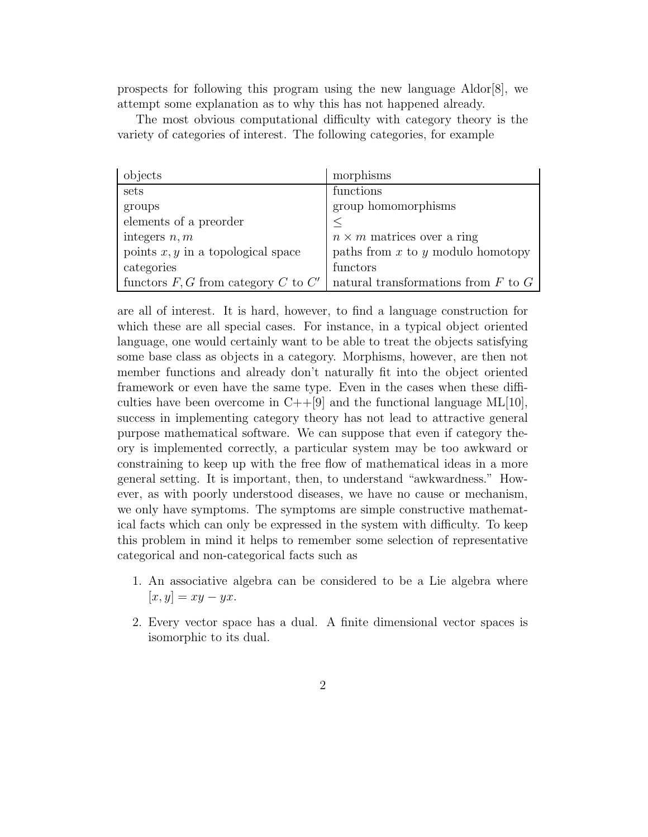prospects for following this program using the new language Aldor[8], we attempt some explanation as to why this has not happened already.

The most obvious computational difficulty with category theory is the variety of categories of interest. The following categories, for example

| objects                                 | morphisms                               |
|-----------------------------------------|-----------------------------------------|
| sets                                    | functions                               |
| groups                                  | group homomorphisms                     |
| elements of a preorder                  |                                         |
| integers $n, m$                         | $n \times m$ matrices over a ring       |
| points $x, y$ in a topological space    | paths from $x$ to $y$ modulo homotopy   |
| categories                              | functors                                |
| functors $F, G$ from category C to $C'$ | natural transformations from $F$ to $G$ |

are all of interest. It is hard, however, to find a language construction for which these are all special cases. For instance, in a typical object oriented language, one would certainly want to be able to treat the objects satisfying some base class as objects in a category. Morphisms, however, are then not member functions and already don't naturally fit into the object oriented framework or even have the same type. Even in the cases when these difficulties have been overcome in  $C++[9]$  and the functional language ML[10], success in implementing category theory has not lead to attractive general purpose mathematical software. We can suppose that even if category theory is implemented correctly, a particular system may be too awkward or constraining to keep up with the free flow of mathematical ideas in a more general setting. It is important, then, to understand "awkwardness." However, as with poorly understood diseases, we have no cause or mechanism, we only have symptoms. The symptoms are simple constructive mathematical facts which can only be expressed in the system with difficulty. To keep this problem in mind it helps to remember some selection of representative categorical and non-categorical facts such as

- 1. An associative algebra can be considered to be a Lie algebra where  $[x, y] = xy - yx.$
- 2. Every vector space has a dual. A finite dimensional vector spaces is isomorphic to its dual.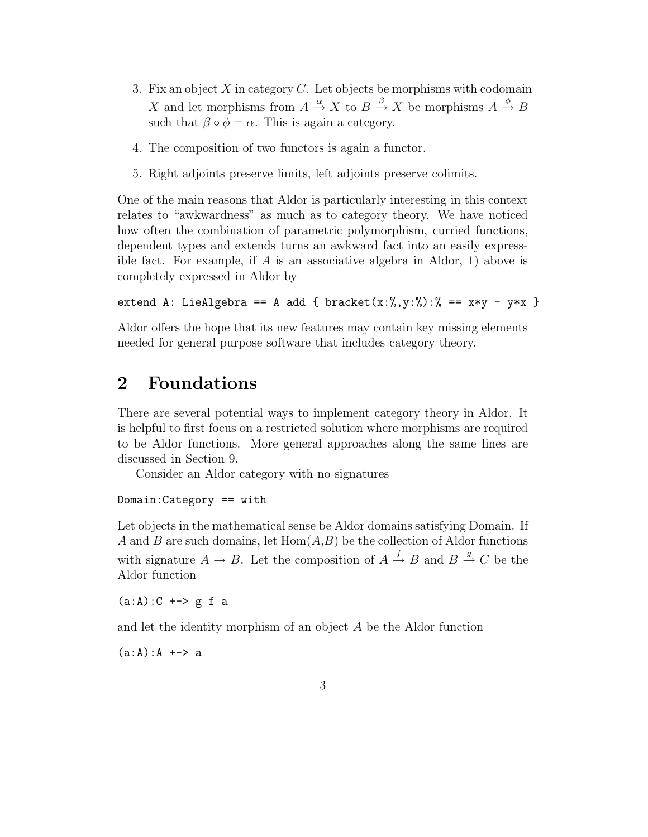- 3. Fix an object  $X$  in category  $C$ . Let objects be morphisms with codomain X and let morphisms from  $A \xrightarrow{\alpha} X$  to  $B \xrightarrow{\beta} X$  be morphisms  $A \xrightarrow{\phi} B$ such that  $\beta \circ \phi = \alpha$ . This is again a category.
- 4. The composition of two functors is again a functor.
- 5. Right adjoints preserve limits, left adjoints preserve colimits.

One of the main reasons that Aldor is particularly interesting in this context relates to "awkwardness" as much as to category theory. We have noticed how often the combination of parametric polymorphism, curried functions, dependent types and extends turns an awkward fact into an easily expressible fact. For example, if  $A$  is an associative algebra in Aldor, 1) above is completely expressed in Aldor by

extend A: LieAlgebra == A add { bracket(x:%,y:%):% ==  $x*y - y*x$  }

Aldor offers the hope that its new features may contain key missing elements needed for general purpose software that includes category theory.

## 2 Foundations

There are several potential ways to implement category theory in Aldor. It is helpful to first focus on a restricted solution where morphisms are required to be Aldor functions. More general approaches along the same lines are discussed in Section 9.

Consider an Aldor category with no signatures

Domain:Category == with

Let objects in the mathematical sense be Aldor domains satisfying Domain. If A and B are such domains, let  $Hom(A, B)$  be the collection of Aldor functions with signature  $A \to B$ . Let the composition of  $A \stackrel{f}{\to} B$  and  $B \stackrel{g}{\to} C$  be the Aldor function

 $(a:A):C \dashrightarrow g f a$ 

and let the identity morphism of an object A be the Aldor function

 $(a:A):A \dashrightarrow a$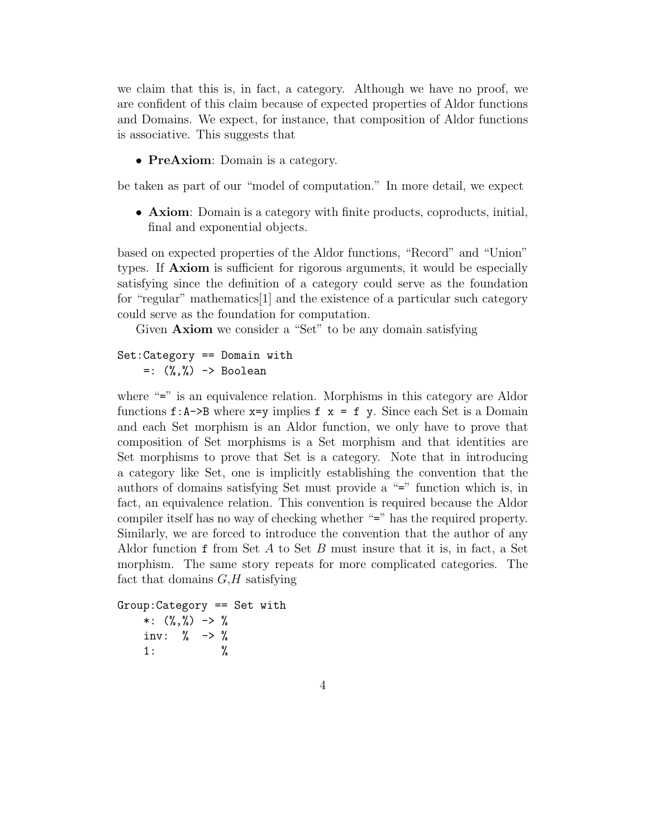we claim that this is, in fact, a category. Although we have no proof, we are confident of this claim because of expected properties of Aldor functions and Domains. We expect, for instance, that composition of Aldor functions is associative. This suggests that

• PreAxiom: Domain is a category.

be taken as part of our "model of computation." In more detail, we expect

• **Axiom**: Domain is a category with finite products, coproducts, initial, final and exponential objects.

based on expected properties of the Aldor functions, "Record" and "Union" types. If Axiom is sufficient for rigorous arguments, it would be especially satisfying since the definition of a category could serve as the foundation for "regular" mathematics[1] and the existence of a particular such category could serve as the foundation for computation.

Given Axiom we consider a "Set" to be any domain satisfying

#### Set:Category == Domain with =: (%,%) -> Boolean

where "=" is an equivalence relation. Morphisms in this category are Aldor functions  $f:A\rightarrow B$  where  $x=y$  implies  $f \times z = f \times y$ . Since each Set is a Domain and each Set morphism is an Aldor function, we only have to prove that composition of Set morphisms is a Set morphism and that identities are Set morphisms to prove that Set is a category. Note that in introducing a category like Set, one is implicitly establishing the convention that the authors of domains satisfying Set must provide a "=" function which is, in fact, an equivalence relation. This convention is required because the Aldor compiler itself has no way of checking whether "=" has the required property. Similarly, we are forced to introduce the convention that the author of any Aldor function  $f$  from Set A to Set B must insure that it is, in fact, a Set morphism. The same story repeats for more complicated categories. The fact that domains  $G,H$  satisfying

Group:Category == Set with  $*$ :  $(\%, \%)$  ->  $\%$ inv: % -> %  $1:$  %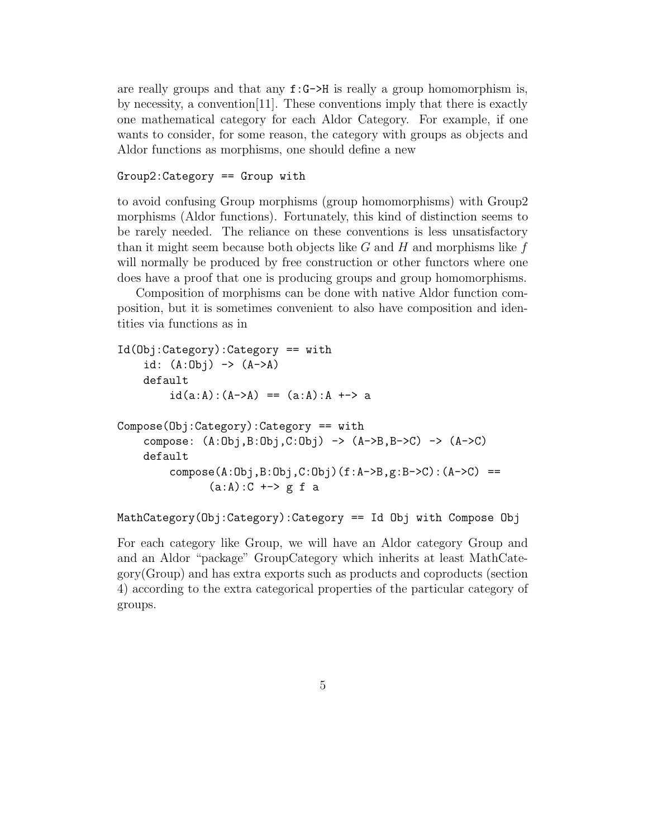are really groups and that any  $f:G\rightarrow H$  is really a group homomorphism is, by necessity, a convention[11]. These conventions imply that there is exactly one mathematical category for each Aldor Category. For example, if one wants to consider, for some reason, the category with groups as objects and Aldor functions as morphisms, one should define a new

#### Group2:Category == Group with

to avoid confusing Group morphisms (group homomorphisms) with Group2 morphisms (Aldor functions). Fortunately, this kind of distinction seems to be rarely needed. The reliance on these conventions is less unsatisfactory than it might seem because both objects like  $G$  and  $H$  and morphisms like  $f$ will normally be produced by free construction or other functors where one does have a proof that one is producing groups and group homomorphisms.

Composition of morphisms can be done with native Aldor function composition, but it is sometimes convenient to also have composition and identities via functions as in

```
Id(Obj:Category):Category == with
    id: (A:Obj) \rightarrow (A->A)default
         id(a:A):(A->A) == (a:A):A \rightarrow aCompare(Obj:Category):Category = withcompose: (A:Obj, B:Obj, C:Obj) \rightarrow (A->B, B->C) \rightarrow (A->C)default
         compose(A:Obj,B:Obj,C:Obj(G:A->B,g:B->C):(A->C) ==(a:A):C \dashrightarrow g f a
```

```
MathCategory(Obj:Category):Category == Id Obj with Compose Obj
```
For each category like Group, we will have an Aldor category Group and and an Aldor "package" GroupCategory which inherits at least MathCategory(Group) and has extra exports such as products and coproducts (section 4) according to the extra categorical properties of the particular category of groups.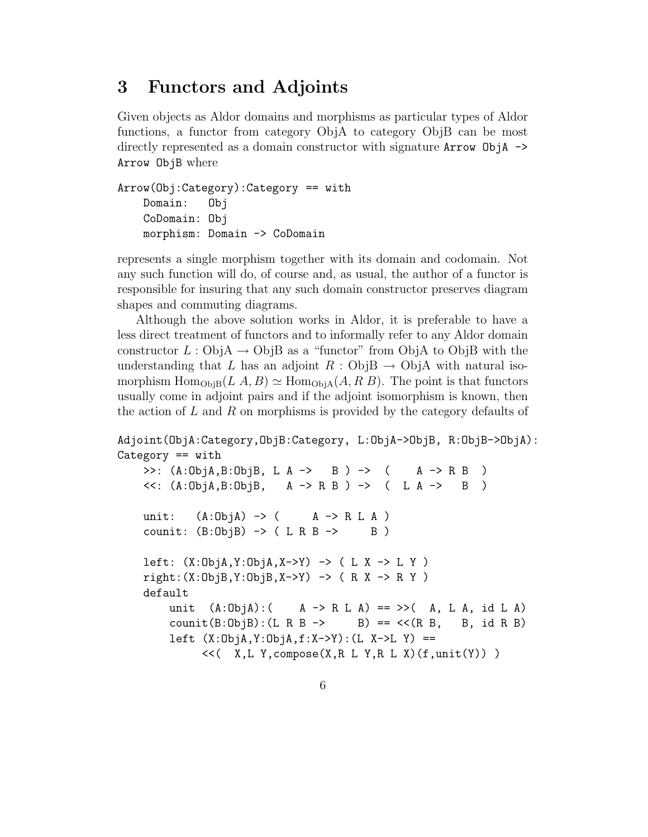#### 3 Functors and Adjoints

Given objects as Aldor domains and morphisms as particular types of Aldor functions, a functor from category ObjA to category ObjB can be most directly represented as a domain constructor with signature  $ArrayD$  -> Arrow ObjB where

```
Arrow(Obj:Category):Category == with
   Domain: Obj
   CoDomain: Obj
   morphism: Domain -> CoDomain
```
represents a single morphism together with its domain and codomain. Not any such function will do, of course and, as usual, the author of a functor is responsible for insuring that any such domain constructor preserves diagram shapes and commuting diagrams.

Although the above solution works in Aldor, it is preferable to have a less direct treatment of functors and to informally refer to any Aldor domain constructor  $L : Ob<sub>i</sub>A \rightarrow Ob<sub>j</sub>B$  as a "functor" from ObjA to ObjB with the understanding that L has an adjoint  $R : ObjB \rightarrow ObjA$  with natural isomorphism  $\text{Hom}_{\text{ObjB}}(L \, A, B) \simeq \text{Hom}_{\text{ObjA}}(A, R \, B)$ . The point is that functors usually come in adjoint pairs and if the adjoint isomorphism is known, then the action of  $L$  and  $R$  on morphisms is provided by the category defaults of

```
Adjoint(ObjA:Category,ObjB:Category, L:ObjA->ObjB, R:ObjB->ObjA):
Category == with
```

```
\gg: (A:ObjA,B:ObjB, L A -> B ) -> ( A -> R B )
<<: (A:ObjA, B:ObjB, A \rightarrow R B) \rightarrow (LA \rightarrow B)unit: (A:ObjA) \rightarrow ( A \rightarrow R L A)counit: (B:ObjB) \rightarrow (L R B \rightarrow B)left: (X:Ob<sub>j</sub>A, Y:Ob<sub>j</sub>A, X->Y) \rightarrow (L X \rightarrow L Y)right: (X:ObjB, Y:ObjB, X\rightarrow Y) \rightarrow (RX \rightarrow R Y)default
     unit (A:ObjA): (A \rightarrow R L A) == >>( A, L A, id L A)
     count(B:ObjB):(L \t R \t B \t -> B) == <<(R B, B, id R B)
     left (X:ObjA,Y:ObjA,f:X->Y):(L X->L Y) ==
           << (X,L Y, compose (X, R L Y, R L X) (f, unit (Y)))
```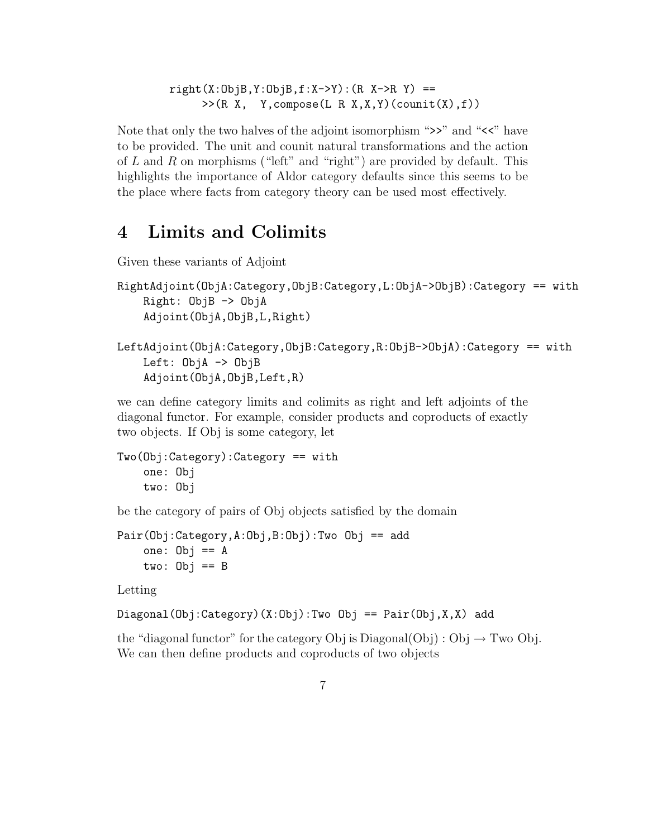#### $right(X:ObjB, Y:ObjB, f:X->Y):(R X->R Y) ==$  $\rightarrow$  (R X, Y, compose (L R X, X, Y) (counit (X), f))

Note that only the two halves of the adjoint isomorphism ">>" and "<<" have to be provided. The unit and counit natural transformations and the action of  $L$  and  $R$  on morphisms ("left" and "right") are provided by default. This highlights the importance of Aldor category defaults since this seems to be the place where facts from category theory can be used most effectively.

## 4 Limits and Colimits

Given these variants of Adjoint

```
RightAdjoint(ObjA:Category,ObjB:Category,L:ObjA->ObjB):Category == with
   Right: ObjB -> ObjA
   Adjoint(ObjA,ObjB,L,Right)
```

```
LeftAdjoint(ObjA:Category,ObjB:Category,R:ObjB->ObjA):Category == with
   Left: ObjA -> ObjB
   Adjoint(ObjA,ObjB,Left,R)
```
we can define category limits and colimits as right and left adjoints of the diagonal functor. For example, consider products and coproducts of exactly two objects. If Obj is some category, let

```
Two(Obj:Category):Category == with
    one: Obj
    two: Obj
```
be the category of pairs of Obj objects satisfied by the domain

```
Pair(Obj:Category,A:Obj,B:Obj):Two Obj == add
   one: Obj == Atwo: Obj == B
```
Letting

```
Diagonal(Obj:Category)(X:Obj):Two Obj == Pair(Obj,X,X) add
```
the "diagonal functor" for the category Obj is Diagonal(Obj) : Obj  $\rightarrow$  Two Obj. We can then define products and coproducts of two objects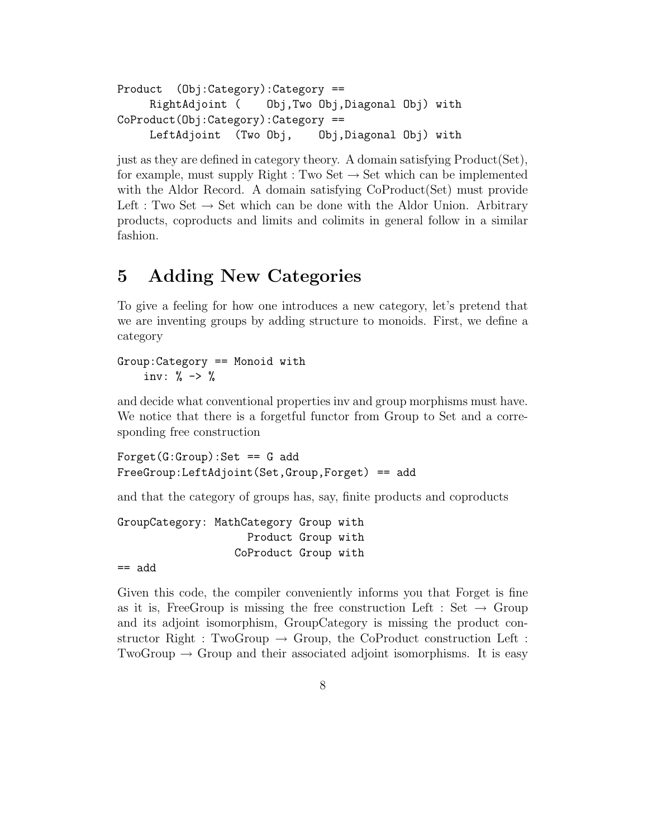```
Product (Obj:Category):Category ==
    RightAdjoint ( Obj,Two Obj,Diagonal Obj) with
CoProduct(Obj:Category):Category ==
    LeftAdjoint (Two Obj, Obj,Diagonal Obj) with
```
just as they are defined in category theory. A domain satisfying Product(Set), for example, must supply Right : Two Set  $\rightarrow$  Set which can be implemented with the Aldor Record. A domain satisfying CoProduct(Set) must provide Left : Two Set  $\rightarrow$  Set which can be done with the Aldor Union. Arbitrary products, coproducts and limits and colimits in general follow in a similar fashion.

## 5 Adding New Categories

To give a feeling for how one introduces a new category, let's pretend that we are inventing groups by adding structure to monoids. First, we define a category

```
Group:Category == Monoid with
      inv: \frac{9}{6} -> \frac{9}{6}
```
and decide what conventional properties inv and group morphisms must have. We notice that there is a forgetful functor from Group to Set and a corresponding free construction

 $Forget(G:Group):Set == G add$ FreeGroup:LeftAdjoint(Set,Group,Forget) == add

and that the category of groups has, say, finite products and coproducts

```
GroupCategory: MathCategory Group with
                    Product Group with
                  CoProduct Group with
== add
```
Given this code, the compiler conveniently informs you that Forget is fine as it is, FreeGroup is missing the free construction Left : Set  $\rightarrow$  Group and its adjoint isomorphism, GroupCategory is missing the product constructor Right : TwoGroup  $\rightarrow$  Group, the CoProduct construction Left :  $TwoGroup \rightarrow Group$  and their associated adjoint isomorphisms. It is easy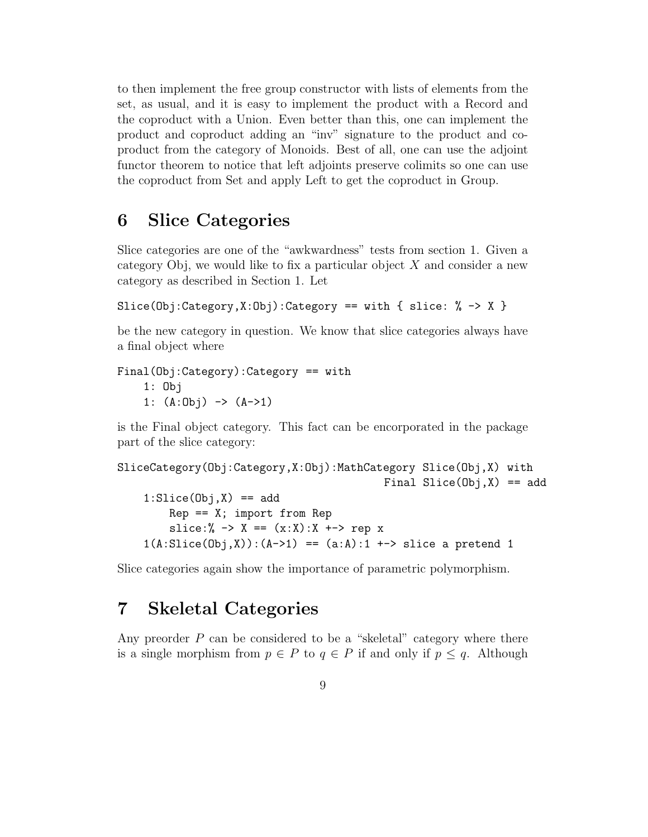to then implement the free group constructor with lists of elements from the set, as usual, and it is easy to implement the product with a Record and the coproduct with a Union. Even better than this, one can implement the product and coproduct adding an "inv" signature to the product and coproduct from the category of Monoids. Best of all, one can use the adjoint functor theorem to notice that left adjoints preserve colimits so one can use the coproduct from Set and apply Left to get the coproduct in Group.

## 6 Slice Categories

Slice categories are one of the "awkwardness" tests from section 1. Given a category Obj, we would like to fix a particular object  $X$  and consider a new category as described in Section 1. Let

```
Slice(Obj:Category,X:Obj):Category == with { slice: % \rightarrow X }
```
be the new category in question. We know that slice categories always have a final object where

```
Final(Obj:Category):Category == with
    1: Obj
    1: (A: 0bj) -> (A->1)
```
is the Final object category. This fact can be encorporated in the package part of the slice category:

```
SliceCategory(Obj:Category,X:Obj):MathCategory Slice(Obj,X) with
                                                 Final Slice(\text{Obj}, X) == \text{add}1:Slice(Obj,X) == addRep == X; import from Repslice:% \rightarrow X == (x:X):X \rightarrow > rep x1(A:Slice(Obj,X)):(A->1) == (a:A):1 \rightarrow > slice \ a\ pretend \ 1
```
Slice categories again show the importance of parametric polymorphism.

## 7 Skeletal Categories

Any preorder  $P$  can be considered to be a "skeletal" category where there is a single morphism from  $p \in P$  to  $q \in P$  if and only if  $p \leq q$ . Although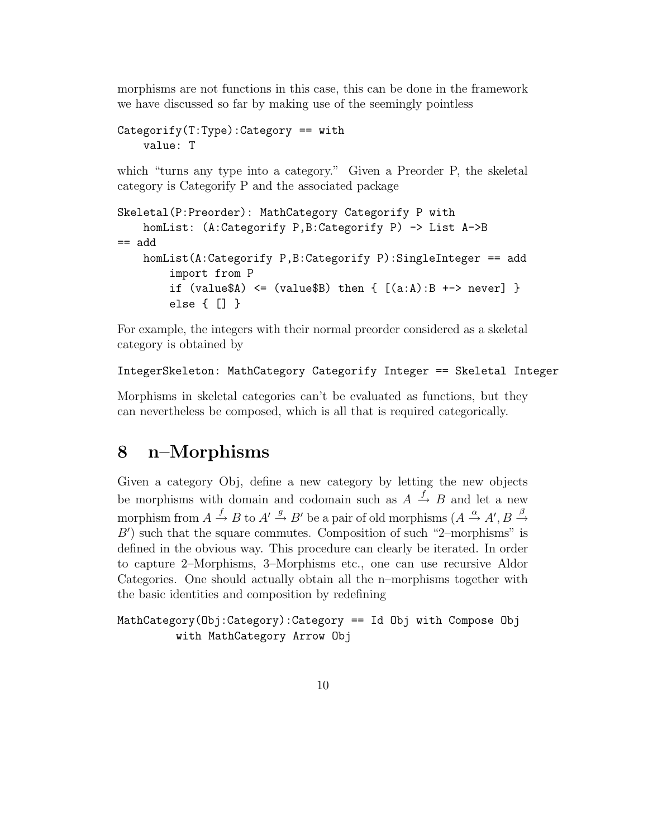morphisms are not functions in this case, this can be done in the framework we have discussed so far by making use of the seemingly pointless

```
Category(T:Type):(Category == withvalue: T
```
which "turns any type into a category." Given a Preorder P, the skeletal category is Categorify P and the associated package

```
Skeletal(P:Preorder): MathCategory Categorify P with
    homList: (A:Categorify P,B:Categorify P) -> List A->B
== add
    homList(A:Categorify P,B:Categorify P):SingleInteger == add
        import from P
        if (value$A) \leq (value$B) then { [(a:A):B +-> never] }
        else { [] }
```
For example, the integers with their normal preorder considered as a skeletal category is obtained by

```
IntegerSkeleton: MathCategory Categorify Integer == Skeletal Integer
```
Morphisms in skeletal categories can't be evaluated as functions, but they can nevertheless be composed, which is all that is required categorically.

## 8 n–Morphisms

Given a category Obj, define a new category by letting the new objects be morphisms with domain and codomain such as  $A \stackrel{f}{\rightarrow} B$  and let a new morphism from  $A\stackrel{f}{\to}B$  to  $A'\stackrel{g}{\to}B'$  be a pair of old morphisms  $(A\stackrel{\alpha}{\to}A',B\stackrel{\beta}{\to}$  $B'$ ) such that the square commutes. Composition of such "2–morphisms" is defined in the obvious way. This procedure can clearly be iterated. In order to capture 2–Morphisms, 3–Morphisms etc., one can use recursive Aldor Categories. One should actually obtain all the n–morphisms together with the basic identities and composition by redefining

```
MathCategory(Obj:Category):Category == Id Obj with Compose Obj
         with MathCategory Arrow Obj
```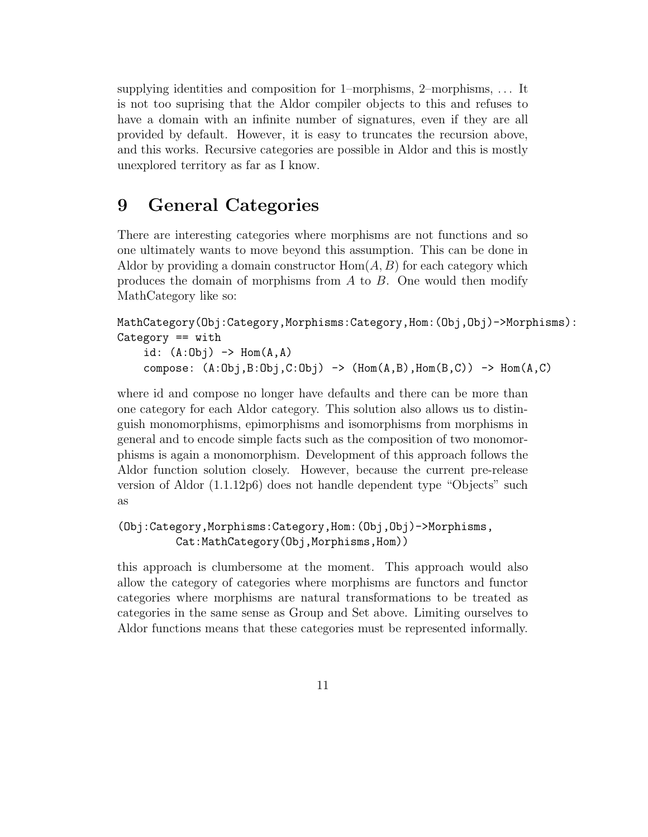supplying identities and composition for 1–morphisms, 2–morphisms, . . . It is not too suprising that the Aldor compiler objects to this and refuses to have a domain with an infinite number of signatures, even if they are all provided by default. However, it is easy to truncates the recursion above, and this works. Recursive categories are possible in Aldor and this is mostly unexplored territory as far as I know.

## 9 General Categories

There are interesting categories where morphisms are not functions and so one ultimately wants to move beyond this assumption. This can be done in Aldor by providing a domain constructor  $Hom(A, B)$  for each category which produces the domain of morphisms from  $A$  to  $B$ . One would then modify MathCategory like so:

```
MathCategory(Obj:Category,Morphisms:Category,Hom:(Obj,Obj)->Morphisms):
Category == with
    id: (A:Obj) \rightarrow Hom(A, A)
```

```
compose: (A:Obj,B:Obj,C:Obj) -> (Hom(A,B),Hom(B,C)) -> Hom(A,C)
```
where id and compose no longer have defaults and there can be more than one category for each Aldor category. This solution also allows us to distinguish monomorphisms, epimorphisms and isomorphisms from morphisms in general and to encode simple facts such as the composition of two monomorphisms is again a monomorphism. Development of this approach follows the Aldor function solution closely. However, because the current pre-release version of Aldor (1.1.12p6) does not handle dependent type "Objects" such as

```
(Obj:Category,Morphisms:Category,Hom:(Obj,Obj)->Morphisms,
        Cat:MathCategory(Obj,Morphisms,Hom))
```
this approach is clumbersome at the moment. This approach would also allow the category of categories where morphisms are functors and functor categories where morphisms are natural transformations to be treated as categories in the same sense as Group and Set above. Limiting ourselves to Aldor functions means that these categories must be represented informally.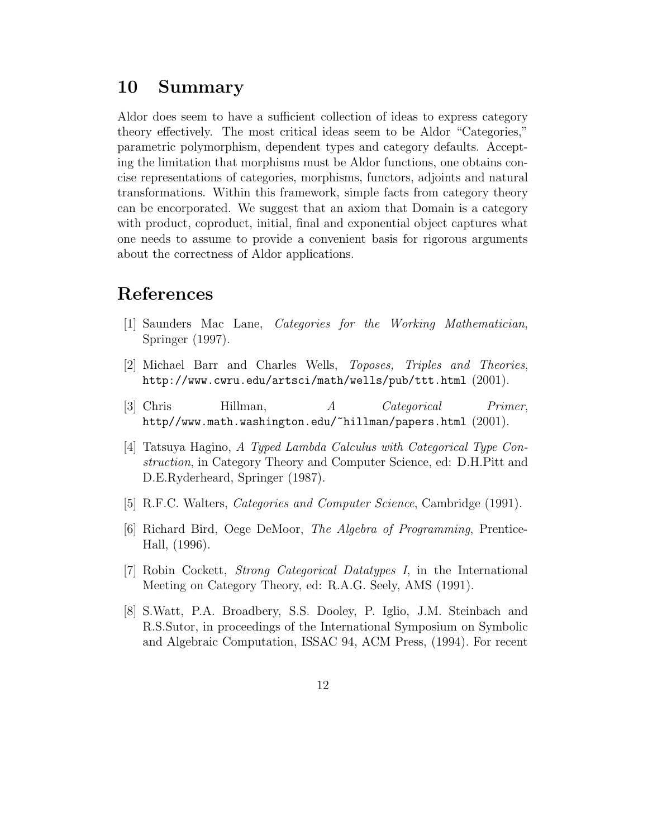### 10 Summary

Aldor does seem to have a sufficient collection of ideas to express category theory effectively. The most critical ideas seem to be Aldor "Categories," parametric polymorphism, dependent types and category defaults. Accepting the limitation that morphisms must be Aldor functions, one obtains concise representations of categories, morphisms, functors, adjoints and natural transformations. Within this framework, simple facts from category theory can be encorporated. We suggest that an axiom that Domain is a category with product, coproduct, initial, final and exponential object captures what one needs to assume to provide a convenient basis for rigorous arguments about the correctness of Aldor applications.

# References

- [1] Saunders Mac Lane, Categories for the Working Mathematician, Springer (1997).
- [2] Michael Barr and Charles Wells, Toposes, Triples and Theories, http://www.cwru.edu/artsci/math/wells/pub/ttt.html (2001).
- [3] Chris Hillman, A Categorical Primer, http//www.math.washington.edu/~hillman/papers.html (2001).
- [4] Tatsuya Hagino, A Typed Lambda Calculus with Categorical Type Construction, in Category Theory and Computer Science, ed: D.H.Pitt and D.E.Ryderheard, Springer (1987).
- [5] R.F.C. Walters, Categories and Computer Science, Cambridge (1991).
- [6] Richard Bird, Oege DeMoor, The Algebra of Programming, Prentice-Hall, (1996).
- [7] Robin Cockett, Strong Categorical Datatypes I, in the International Meeting on Category Theory, ed: R.A.G. Seely, AMS (1991).
- [8] S.Watt, P.A. Broadbery, S.S. Dooley, P. Iglio, J.M. Steinbach and R.S.Sutor, in proceedings of the International Symposium on Symbolic and Algebraic Computation, ISSAC 94, ACM Press, (1994). For recent